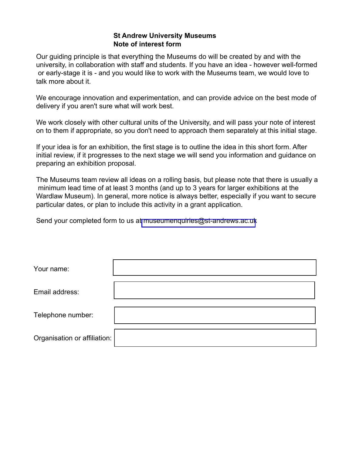#### **St Andrew University Museums** Note of interest form

Our guiding principle is that everything the Museums do will be created by and with the university, in collaboration with staff and students. If you have an idea - however well-formed or early-stage it is - and you would like to work with the Museums team, we would love to talk more about it.

We encourage innovation and experimentation, and can provide advice on the best mode of delivery if you aren't sure what will work best.

We work closely with other cultural units of the University, and will pass your note of interest on to them if appropriate, so you don't need to approach them separately at this initial stage.

If your idea is for an exhibition, the first stage is to outline the idea in this short form. After initial review, if it progresses to the next stage we will send you information and guidance on preparing an exhibition proposal.

The Museums team review all ideas on a rolling basis, but please note that there is usually a minimum lead time of at least 3 months (and up to 3 years for larger exhibitions at the Wardlaw Museum). In general, more notice is always better, especially if you want to secure particular dates, or plan to include this activity in a grant application.

Send your completed form to us at museumenquiries@st-andrews.ac.uk

| Your name:                   |  |
|------------------------------|--|
| Email address:               |  |
| Telephone number:            |  |
| Organisation or affiliation: |  |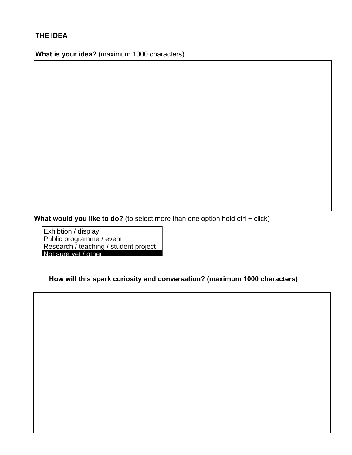## THE IDEA

What is your idea? (maximum 1000 characters)

What would you like to do? (to select more than one option hold  $ctrl + click$ )

Exhibtion / display Public programme / event Research / teaching / student project Not sure vet / other

How will this spark curiosity and conversation? (maximum 1000 characters)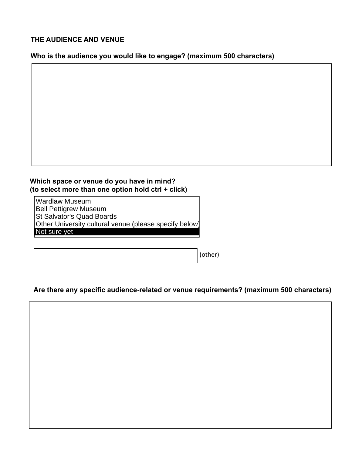#### THE AUDIENCE AND VENUE

Who is the audience you would like to engage? (maximum 500 characters)



Which space or venue do you have in mind? (to select more than one option hold ctrl + click)

**Wardlaw Museum Bell Pettigrew Museum** St Salvator's Quad Boards Other University cultural venue (please specify below) Not sure yet

(other)

### Are there any specific audience-related or venue requirements? (maximum 500 characters)